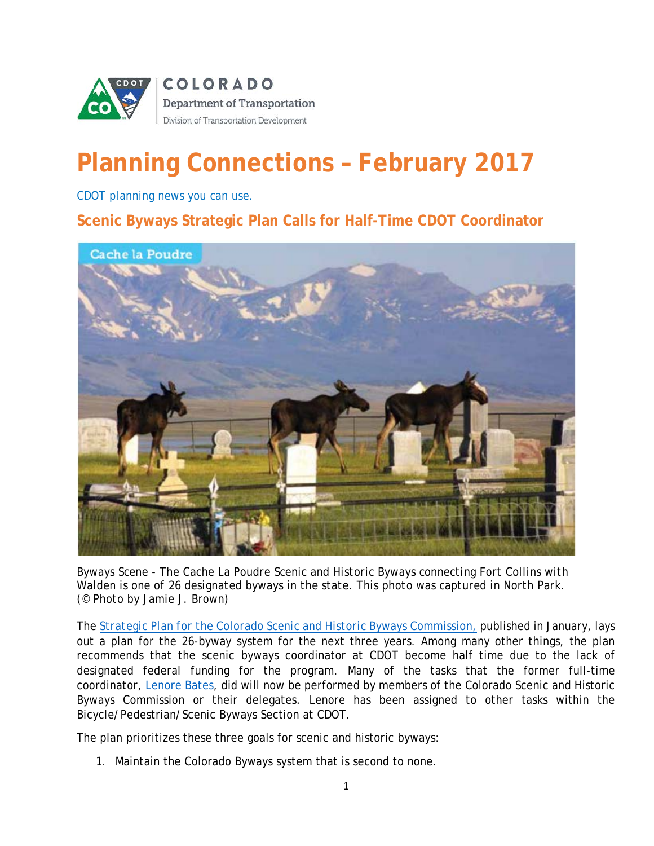

# **Planning Connections – February 2017**

*CDOT planning news you can use.*

**Scenic Byways Strategic Plan Calls for Half-Time CDOT Coordinator**



*Byways Scene - The Cache La Poudre Scenic and Historic Byways connecting Fort Collins with Walden is one of 26 designated byways in the state. This photo was captured in North Park. (© Photo by Jamie J. Brown)* 

The *[Strategic Plan for the Colorado Scenic and Historic Byways Commission](https://www.codot.gov/travel/scenic-byways/links-resources.html)*, published in January, lays out a plan for the 26-byway system for the next three years. Among many other things, the plan recommends that the scenic byways coordinator at CDOT become half time due to the lack of designated federal funding for the program. Many of the tasks that the former full-time coordinator, [Lenore Bates,](mailto:lenore.bates@state.co.us) did will now be performed by members of the Colorado Scenic and Historic Byways Commission or their delegates. Lenore has been assigned to other tasks within the Bicycle/Pedestrian/Scenic Byways Section at CDOT.

The plan prioritizes these three goals for scenic and historic byways:

1. Maintain the Colorado Byways system that is second to none.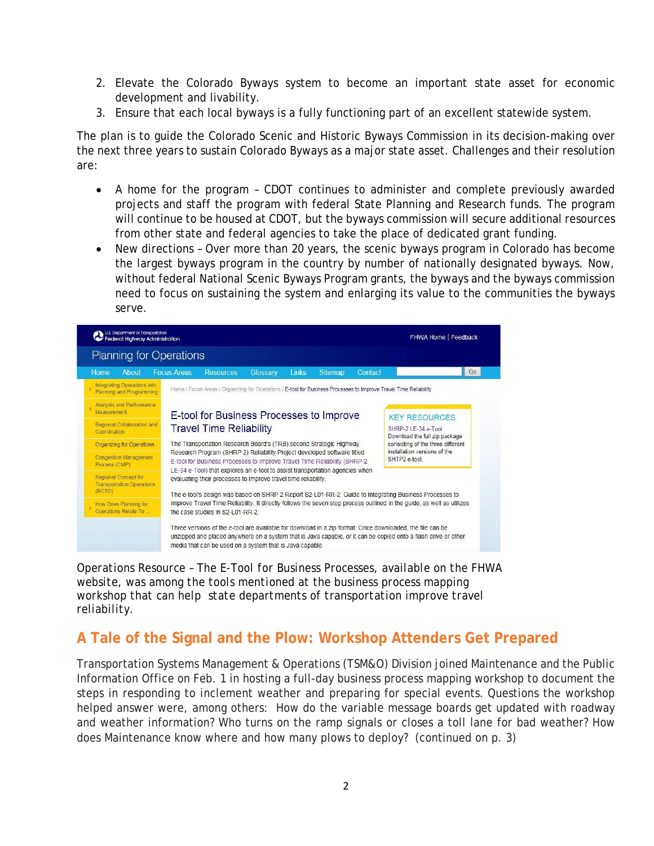- 2. Elevate the Colorado Byways system to become an important state asset for economic development and livability.
- 3. Ensure that each local byways is a fully functioning part of an excellent statewide system.

The plan is to guide the Colorado Scenic and Historic Byways Commission in its decision-making over the next three years to sustain Colorado Byways as a major state asset. Challenges and their resolution are:

- A home for the program CDOT continues to administer and complete previously awarded projects and staff the program with federal State Planning and Research funds. The program will continue to be housed at CDOT, but the byways commission will secure additional resources from other state and federal agencies to take the place of dedicated grant funding.
- New directions Over more than 20 years, the scenic byways program in Colorado has become the largest byways program in the country by number of nationally designated byways. Now, without federal National Scenic Byways Program grants, the byways and the byways commission need to focus on sustaining the system and enlarging its value to the communities the byways serve.



*Operations Resource – The E-Tool for Business Processes, available on the FHWA website, was among the tools mentioned at the business process mapping workshop that can help state departments of transportation improve travel reliability.*

### **A Tale of the Signal and the Plow: Workshop Attenders Get Prepared**

Transportation Systems Management & Operations (TSM&O) Division joined Maintenance and the Public Information Office on Feb. 1 in hosting a full-day business process mapping workshop to document the steps in responding to inclement weather and preparing for special events. Questions the workshop helped answer were, among others: How do the variable message boards get updated with roadway and weather information? Who turns on the ramp signals or closes a toll lane for bad weather? How does Maintenance know where and how many plows to deploy? (continued on p. 3)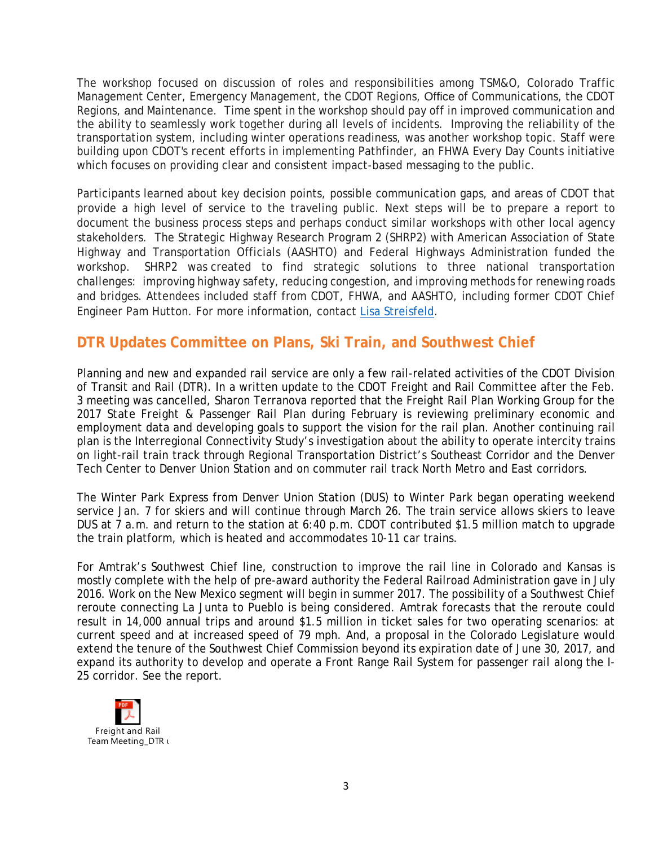The workshop focused on discussion of roles and responsibilities among TSM&O, Colorado Traffic Management Center, Emergency Management, the CDOT Regions, Office of Communications, the CDOT Regions, and Maintenance. Time spent in the workshop should pay off in improved communication and the ability to seamlessly work together during all levels of incidents. Improving the reliability of the transportation system, including winter operations readiness, was another workshop topic. Staff were building upon CDOT's recent efforts in implementing Pathfinder, an FHWA Every Day Counts initiative which focuses on providing clear and consistent impact-based messaging to the public.

Participants learned about key decision points, possible communication gaps, and areas of CDOT that provide a high level of service to the traveling public. Next steps will be to prepare a report to document the business process steps and perhaps conduct similar workshops with other local agency stakeholders. The Strategic Highway Research Program 2 (SHRP2) with American Association of State Highway and Transportation Officials (AASHTO) and Federal Highways Administration funded the workshop. SHRP2 was created to find strategic solutions to three national transportation challenges: improving highway safety, reducing congestion, and improving methods for renewing roads and bridges. Attendees included staff from CDOT, FHWA, and AASHTO, including former CDOT Chief Engineer Pam Hutton. For more information, contact [Lisa Streisfeld.](mailto:lisa.streisfeld@state.co.us)

#### **DTR Updates Committee on Plans, Ski Train, and Southwest Chief**

Planning and new and expanded rail service are only a few rail-related activities of the CDOT Division of Transit and Rail (DTR). In a written update to the CDOT Freight and Rail Committee after the Feb. 3 meeting was cancelled, Sharon Terranova reported that the Freight Rail Plan Working Group for the *2017 State Freight & Passenger Rail Plan* during February is reviewing preliminary economic and employment data and developing goals to support the vision for the rail plan. Another continuing rail plan is the Interregional Connectivity Study's investigation about the ability to operate intercity trains on light-rail train track through Regional Transportation District's Southeast Corridor and the Denver Tech Center to Denver Union Station and on commuter rail track North Metro and East corridors.

The Winter Park Express from Denver Union Station (DUS) to Winter Park began operating weekend service Jan. 7 for skiers and will continue through March 26. The train service allows skiers to leave DUS at 7 a.m. and return to the station at 6:40 p.m. CDOT contributed \$1.5 million match to upgrade the train platform, which is heated and accommodates 10-11 car trains.

For Amtrak's Southwest Chief line, construction to improve the rail line in Colorado and Kansas is mostly complete with the help of pre-award authority the Federal Railroad Administration gave in July 2016. Work on the New Mexico segment will begin in summer 2017. The possibility of a Southwest Chief reroute connecting La Junta to Pueblo is being considered. Amtrak forecasts that the reroute could result in 14,000 annual trips and around \$1.5 million in ticket sales for two operating scenarios: at current speed and at increased speed of 79 mph. And, a proposal in the Colorado Legislature would extend the tenure of the Southwest Chief Commission beyond its expiration date of June 30, 2017, and expand its authority to develop and operate a Front Range Rail System for passenger rail along the I-25 corridor. See the report.